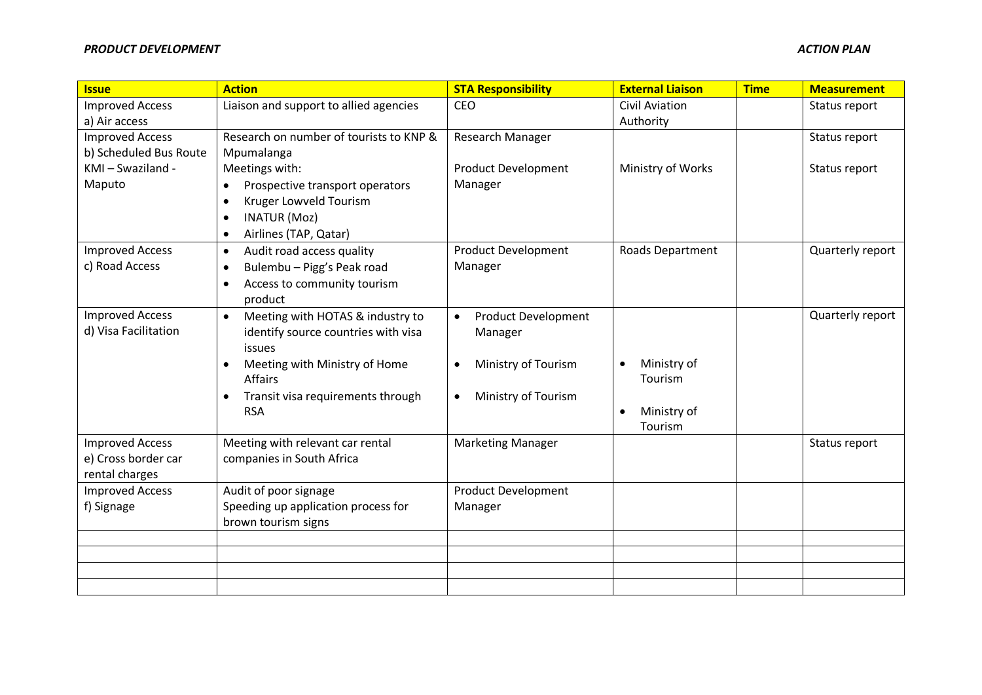| <b>Issue</b>           | <b>Action</b>                                  | <b>STA Responsibility</b>               | <b>External Liaison</b> | <b>Time</b> | <b>Measurement</b> |
|------------------------|------------------------------------------------|-----------------------------------------|-------------------------|-------------|--------------------|
| <b>Improved Access</b> | Liaison and support to allied agencies         | CEO                                     | <b>Civil Aviation</b>   |             | Status report      |
| a) Air access          |                                                |                                         | Authority               |             |                    |
| <b>Improved Access</b> | Research on number of tourists to KNP &        | Research Manager                        |                         |             | Status report      |
| b) Scheduled Bus Route | Mpumalanga                                     |                                         |                         |             |                    |
| KMI-Swaziland -        | Meetings with:                                 | <b>Product Development</b>              | Ministry of Works       |             | Status report      |
| Maputo                 | Prospective transport operators<br>$\bullet$   | Manager                                 |                         |             |                    |
|                        | Kruger Lowveld Tourism<br>$\bullet$            |                                         |                         |             |                    |
|                        | <b>INATUR (Moz)</b><br>$\bullet$               |                                         |                         |             |                    |
|                        | Airlines (TAP, Qatar)<br>$\bullet$             |                                         |                         |             |                    |
| <b>Improved Access</b> | Audit road access quality<br>$\bullet$         | <b>Product Development</b>              | Roads Department        |             | Quarterly report   |
| c) Road Access         | Bulembu - Pigg's Peak road<br>$\bullet$        | Manager                                 |                         |             |                    |
|                        | Access to community tourism<br>$\bullet$       |                                         |                         |             |                    |
|                        | product                                        |                                         |                         |             |                    |
| <b>Improved Access</b> | Meeting with HOTAS & industry to<br>$\bullet$  | <b>Product Development</b><br>$\bullet$ |                         |             | Quarterly report   |
| d) Visa Facilitation   | identify source countries with visa            | Manager                                 |                         |             |                    |
|                        | issues                                         |                                         |                         |             |                    |
|                        | Meeting with Ministry of Home<br>$\bullet$     | Ministry of Tourism<br>$\bullet$        | Ministry of             |             |                    |
|                        | Affairs                                        |                                         | Tourism                 |             |                    |
|                        | Transit visa requirements through<br>$\bullet$ | Ministry of Tourism<br>$\bullet$        |                         |             |                    |
|                        | <b>RSA</b>                                     |                                         | Ministry of             |             |                    |
|                        |                                                |                                         | Tourism                 |             |                    |
| <b>Improved Access</b> | Meeting with relevant car rental               | <b>Marketing Manager</b>                |                         |             | Status report      |
| e) Cross border car    | companies in South Africa                      |                                         |                         |             |                    |
| rental charges         |                                                |                                         |                         |             |                    |
| <b>Improved Access</b> | Audit of poor signage                          | <b>Product Development</b>              |                         |             |                    |
| f) Signage             | Speeding up application process for            | Manager                                 |                         |             |                    |
|                        | brown tourism signs                            |                                         |                         |             |                    |
|                        |                                                |                                         |                         |             |                    |
|                        |                                                |                                         |                         |             |                    |
|                        |                                                |                                         |                         |             |                    |
|                        |                                                |                                         |                         |             |                    |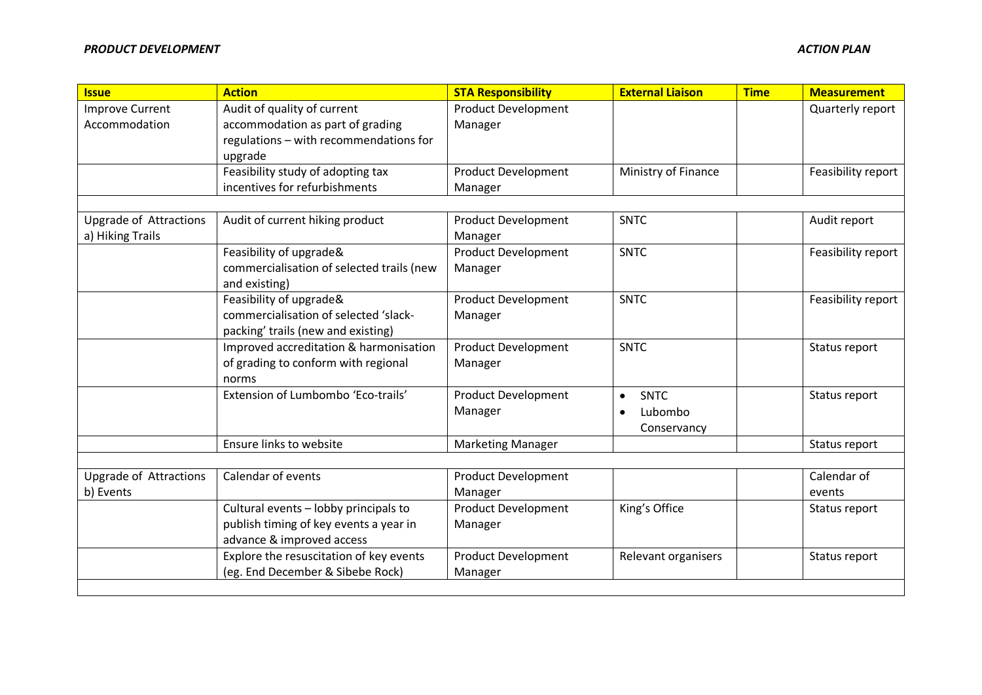| <b>Issue</b>                  | <b>Action</b>                             | <b>STA Responsibility</b>  | <b>External Liaison</b>  | <b>Time</b> | <b>Measurement</b> |
|-------------------------------|-------------------------------------------|----------------------------|--------------------------|-------------|--------------------|
| <b>Improve Current</b>        | Audit of quality of current               | <b>Product Development</b> |                          |             | Quarterly report   |
| Accommodation                 | accommodation as part of grading          | Manager                    |                          |             |                    |
|                               | regulations - with recommendations for    |                            |                          |             |                    |
|                               | upgrade                                   |                            |                          |             |                    |
|                               | Feasibility study of adopting tax         | <b>Product Development</b> | Ministry of Finance      |             | Feasibility report |
|                               | incentives for refurbishments             | Manager                    |                          |             |                    |
|                               |                                           |                            |                          |             |                    |
| <b>Upgrade of Attractions</b> | Audit of current hiking product           | <b>Product Development</b> | <b>SNTC</b>              |             | Audit report       |
| a) Hiking Trails              |                                           | Manager                    |                          |             |                    |
|                               | Feasibility of upgrade&                   | <b>Product Development</b> | <b>SNTC</b>              |             | Feasibility report |
|                               | commercialisation of selected trails (new | Manager                    |                          |             |                    |
|                               | and existing)                             |                            |                          |             |                    |
|                               | Feasibility of upgrade&                   | <b>Product Development</b> | <b>SNTC</b>              |             | Feasibility report |
|                               | commercialisation of selected 'slack-     | Manager                    |                          |             |                    |
|                               | packing' trails (new and existing)        |                            |                          |             |                    |
|                               | Improved accreditation & harmonisation    | <b>Product Development</b> | <b>SNTC</b>              |             | Status report      |
|                               | of grading to conform with regional       | Manager                    |                          |             |                    |
|                               | norms                                     |                            |                          |             |                    |
|                               | Extension of Lumbombo 'Eco-trails'        | <b>Product Development</b> | <b>SNTC</b><br>$\bullet$ |             | Status report      |
|                               |                                           | Manager                    | Lubombo                  |             |                    |
|                               |                                           |                            | Conservancy              |             |                    |
|                               | Ensure links to website                   | <b>Marketing Manager</b>   |                          |             | Status report      |
|                               |                                           |                            |                          |             |                    |
| <b>Upgrade of Attractions</b> | Calendar of events                        | <b>Product Development</b> |                          |             | Calendar of        |
| b) Events                     |                                           | Manager                    |                          |             | events             |
|                               | Cultural events - lobby principals to     | <b>Product Development</b> | King's Office            |             | Status report      |
|                               | publish timing of key events a year in    | Manager                    |                          |             |                    |
|                               | advance & improved access                 |                            |                          |             |                    |
|                               | Explore the resuscitation of key events   | <b>Product Development</b> | Relevant organisers      |             | Status report      |
|                               | (eg. End December & Sibebe Rock)          | Manager                    |                          |             |                    |
|                               |                                           |                            |                          |             |                    |